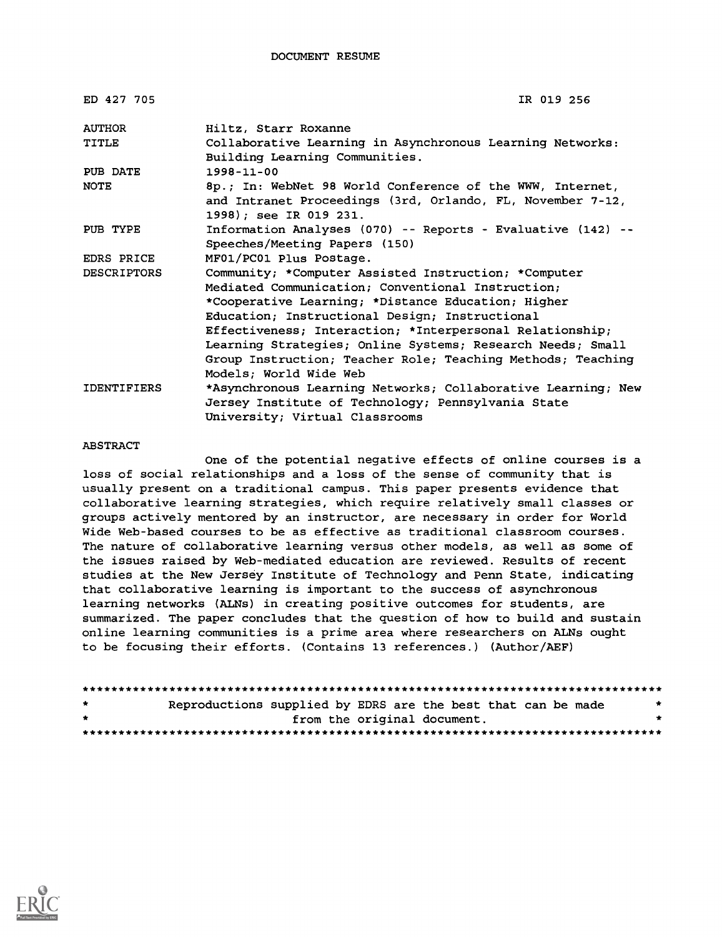| ED 427 705         | IR 019 256                                                                                  |
|--------------------|---------------------------------------------------------------------------------------------|
| <b>AUTHOR</b>      | Hiltz, Starr Roxanne                                                                        |
| TITLE              | Collaborative Learning in Asynchronous Learning Networks:<br>Building Learning Communities. |
| PUB DATE           | $1998 - 11 - 00$                                                                            |
| <b>NOTE</b>        | 8p.; In: WebNet 98 World Conference of the WWW, Internet,                                   |
|                    | and Intranet Proceedings (3rd, Orlando, FL, November 7-12,<br>1998); see IR 019 231.        |
| PUB TYPE           | Information Analyses (070) -- Reports - Evaluative (142) --                                 |
|                    | Speeches/Meeting Papers (150)                                                               |
| EDRS PRICE         | MF01/PC01 Plus Postage.                                                                     |
| <b>DESCRIPTORS</b> | Community; *Computer Assisted Instruction; *Computer                                        |
|                    | Mediated Communication; Conventional Instruction;                                           |
|                    | *Cooperative Learning; *Distance Education; Higher                                          |
|                    | Education; Instructional Design; Instructional                                              |
|                    | Effectiveness; Interaction; *Interpersonal Relationship;                                    |
|                    | Learning Strategies; Online Systems; Research Needs; Small                                  |
|                    | Group Instruction; Teacher Role; Teaching Methods; Teaching                                 |
|                    | Models; World Wide Web                                                                      |
| <b>IDENTIFIERS</b> | *Asynchronous Learning Networks; Collaborative Learning; New                                |
|                    | Jersey Institute of Technology; Pennsylvania State                                          |
|                    | University; Virtual Classrooms                                                              |

#### ABSTRACT

One of the potential negative effects of online courses is a loss of social relationships and a loss of the sense of community that is usually present on a traditional campus. This paper presents evidence that collaborative learning strategies, which require relatively small classes or groups actively mentored by an instructor, are necessary in order for World Wide Web-based courses to be as effective as traditional classroom courses. The nature of collaborative learning versus other models, as well as some of the issues raised by Web-mediated education are reviewed. Results of recent studies at the New Jersey Institute of Technology and Penn State, indicating that collaborative learning is important to the success of asynchronous learning networks (ALNs) in creating positive outcomes for students, are summarized. The paper concludes that the question of how to build and sustain online learning communities is a prime area where researchers on ALNs ought to be focusing their efforts. (Contains 13 references.) (Author/AEF)

| $\star$ | Reproductions supplied by EDRS are the best that can be made |  |                             |  |         |
|---------|--------------------------------------------------------------|--|-----------------------------|--|---------|
| $\star$ |                                                              |  | from the original document. |  | $\cdot$ |
|         |                                                              |  |                             |  |         |

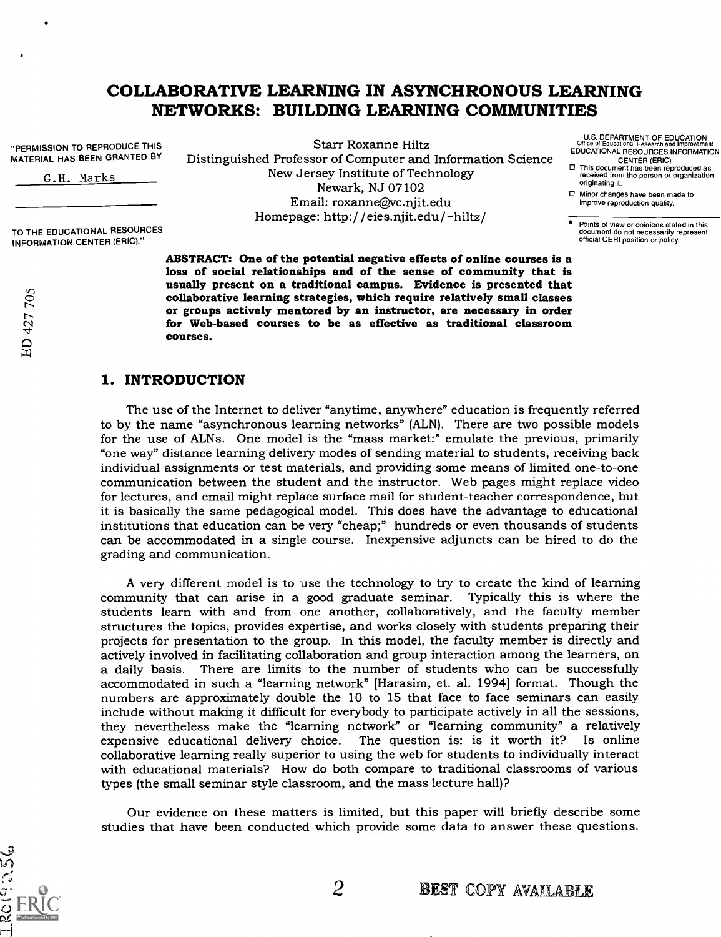# COLLABORATWE LEARNING IN ASYNCHRONOUS LEARNING NETWORKS: BUILDING LEARNING COMMUNITIES

"PERMISSION TO REPRODUCE THIS MATERIAL HAS BEEN GRANTED BY

G.H. Marks

TO THE EDUCATIONAL RESOURCES INFORMATION CENTER (ERIC)."

 $\frac{1}{20}$ 

Starr Roxanne Hiltz Distinguished Professor of Computer and Information Science New Jersey Institute of Technology Newark, NJ 07102 Email: roxanne@vc.njit.edu Homepage: http: / /eies.njit.edu/ -hiltz/

ABSTRACT: One of the potential negative effects of online courses is a loss of social relationships and of the sense of community that is usually present on a traditional campus. Evidence is presented that<br>collaborative learning strategies, which require relatively small classes<br>or groups actively mentored by an instructor, are necessary in order<br>for Web-bas courses.

# 1. INTRODUCTION

The use of the Internet to deliver "anytime, anywhere" education is frequently referred to by the name "asynchronous learning networks" (ALN). There are two possible models for the use of ALNs. One model is the "mass market:" emulate the previous, primarily "one way" distance learning delivery modes of sending material to students, receiving back individual assignments or test materials, and providing some means of limited one-to-one communication between the student and the instructor. Web pages might replace video for lectures, and email might replace surface mail for student-teacher correspondence, but it is basically the same pedagogical model. This does have the advantage to educational institutions that education can be very "cheap;" hundreds or even thousands of students can be accommodated in a single course. Inexpensive adjuncts can be hired to do the grading and communication.

A very different model is to use the technology to try to create the kind of learning community that can arise in a good graduate seminar. Typically this is where the students learn with and from one another, collaboratively, and the faculty member structures the topics, provides expertise, and works closely with students preparing their projects for presentation to the group. In this model, the faculty member is directly and actively involved in facilitating collaboration and group interaction among the learners, on a daily basis. There are limits to the number of students who can be successfully accommodated in such a "learning network" [Harasim, et. al. 1994] format. Though the numbers are approximately double the 10 to 15 that face to face seminars can easily include without making it difficult for everybody to participate actively in all the sessions, they nevertheless make the "learning network" or "learning community" a relatively expensive educational delivery choice. The question is: is it worth it? Is online collaborative learning really superior to using the web for students to individually interact with educational materials? How do both compare to traditional classrooms of various types (the small seminar style classroom, and the mass lecture hall)?

Our evidence on these matters is limited, but this paper will briefly describe some studies that have been conducted which provide some data to answer these questions.



- U.S. DEPARTMENT OF EDUCATION Office of Educational Research and Improvement EDUCATIONAL RESOURCES INFORMATION
- CENTER (ERIC) 0 This document has been reproduced as received from the person or organization originating it.
- 0 Minor changes have been made to improve reproduction quality.

Points of view or opinions stated in this document do not necessarily represent official OERI position or policy.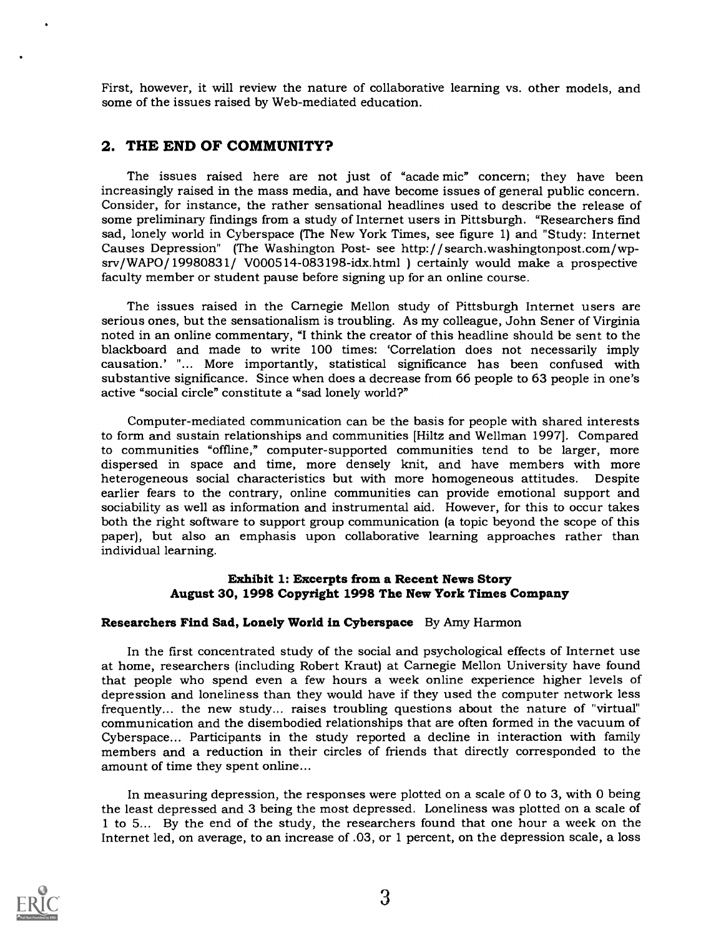First, however, it will review the nature of collaborative learning vs. other models, and some of the issues raised by Web-mediated education.

### 2. THE END OF COMMUNITY?

The issues raised here are not just of "acade mic" concern; they have been increasingly raised in the mass media, and have become issues of general public concern. Consider, for instance, the rather sensational headlines used to describe the release of some preliminary findings from a study of Internet users in Pittsburgh. "Researchers find sad, lonely world in Cyberspace (The New York Times, see figure 1) and "Study: Internet Causes Depression" (The Washington Post- see http:/ / search.washingtonpost.com/wpsrv/WAPO/19980831/ V000514-083198-idx.html ) certainly would make a prospective faculty member or student pause before signing up for an online course.

The issues raised in the Carnegie Mellon study of Pittsburgh Internet users are serious ones, but the sensationalism is troubling. As my colleague, John Sener of Virginia noted in an online commentary, "I think the creator of this headline should be sent to the blackboard and made to write 100 times: 'Correlation does not necessarily imply causation.' "... More importantly, statistical significance has been confused with substantive significance. Since when does a decrease from 66 people to 63 people in one's active "social circle" constitute a "sad lonely world?"

Computer-mediated communication can be the basis for people with shared interests to form and sustain relationships and communities [Hiltz and Wellman 1997]. Compared to communities "offline," computer-supported communities tend to be larger, more dispersed in space and time, more densely knit, and have members with more heterogeneous social characteristics but with more homogeneous att earlier fears to the contrary, online communities can provide emotional support and sociability as well as information and instrumental aid. However, for this to occur takes<br>both the right software to support group communication (a topic beyond the scope of this paper), but also an emphasis upon collaborative learning approaches rather than individual learning.

#### Exhibit 1: Excerpts from a Recent News Story August 30, 1998 Copyright 1998 The New York Times Company

#### Researchers Find Sad, Lonely World in Cyberspace By Amy Harmon

In the first concentrated study of the social and psychological effects of Internet use at home, researchers (including Robert Kraut) at Carnegie Mellon University have found that people who spend even a few hours a week online experience higher levels of depression and loneliness than they would have if they used the computer network less frequently... the new study... raises troubling questions about the nature of "virtual" communication and the disembodied relationships that are often formed in the vacuum of Cyberspace... Participants in the study reported a decline in interaction with family members and a reduction in their circles of friends that directly corresponded to the amount of time they spent online...

In measuring depression, the responses were plotted on a scale of 0 to 3, with 0 being the least depressed and 3 being the most depressed. Loneliness was plotted on a scale of 1 to 5... By the end of the study, the researchers found that one hour a week on the Internet led, on average, to an increase of .03, or 1 percent, on the depression scale, a loss

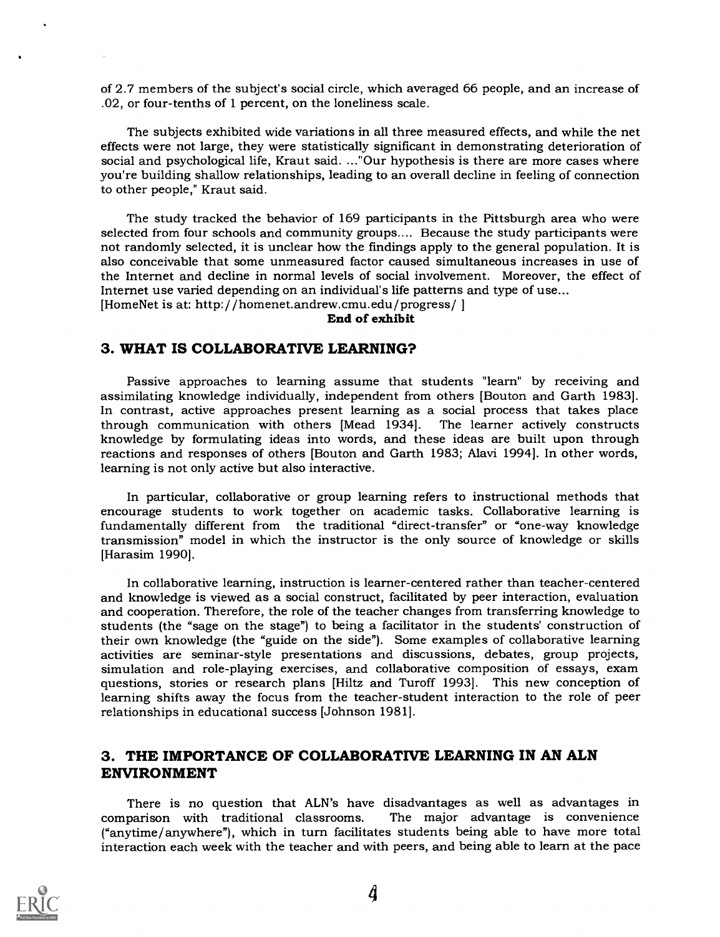of 2.7 members of the subject's social circle, which averaged 66 people, and an increase of .02, or four-tenths of 1 percent, on the loneliness scale.

The subjects exhibited wide variations in all three measured effects, and while the net effects were not large, they were statistically significant in demonstrating deterioration of social and psychological life, Kraut said. ..."Our hypothesis is there are more cases where you're building shallow relationships, leading to an overall decline in feeling of connection to other people," Kraut said.

The study tracked the behavior of 169 participants in the Pittsburgh area who were selected from four schools and community groups.... Because the study participants were not randomly selected, it is unclear how the findings apply to the general population. It is also conceivable that some unmeasured factor caused simultaneous increases in use of the Internet and decline in normal levels of social involvement. Moreover, the effect of Internet use varied depending on an individual's life patterns and type of use...

[HomeNet is at: http://homenet.andrew.cmu.edu/progress/]

#### End of exhibit

#### 3. WHAT IS COLLABORATIVE LEARNING?

Passive approaches to learning assume that students "learn" by receiving and assimilating knowledge individually, independent from others [Bouton and Garth 1983]. In contrast, active approaches present learning as a social process that takes place knowledge by formulating ideas into words, and these ideas are built upon through reactions and responses of others [Bouton and Garth 1983; Alavi 1994]. In other words, learning is not only active but also interactive.

In particular, collaborative or group learning refers to instructional methods that encourage students to work together on academic tasks. Collaborative learning is fundamentally different from the traditional "direct-transfer" or "one-way knowledge transmission" model in which the instructor is the only source of knowledge or skills [Harasim 1990].

In collaborative learning, instruction is learner-centered rather than teacher-centered and knowledge is viewed as a social construct, facilitated by peer interaction, evaluation and cooperation. Therefore, the role of the teacher changes from transferring knowledge to students (the "sage on the stage") to being a facilitator in the students' construction of their own knowledge (the "guide on the side"). Some examples of collaborative learning activities are seminar-style presentations and discussions, debates, group projects, simulation and role-playing exercises, and collaborative composition of essays, exam questions, stories or research plans [Hiltz and Turoff 1993]. This new conception of learning shifts away the focus from the teacher-student interaction to the role of peer relationships in educational success [Johnson 1981].

# 3. THE IMPORTANCE OF COLLABORATIVE LEARNING IN AN ALN ENVIRONMENT

There is no question that ALN's have disadvantages as well as advantages in comparison with traditional classrooms. The major advantage is convenience The major advantage is convenience ("anytime/anywhere"), which in turn facilitates students being able to have more total interaction each week with the teacher and with peers, and being able to learn at the pace

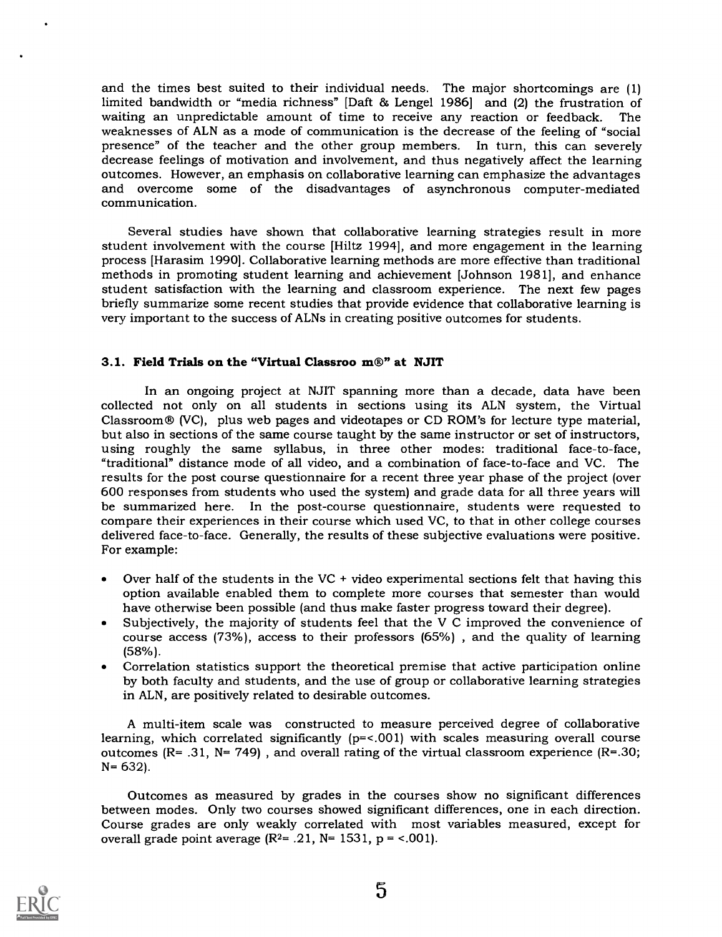and the times best suited to their individual needs. The major shortcomings are (1) limited bandwidth or "media richness" [Daft & Lengel 1986] and (2) the frustration of waiting an unpredictable amount of time to receive any reaction or feedback. The weaknesses of ALN as a mode of communication is the decrease of the feeling of "social" presence" of the teacher and the other group members. In turn, this can severely decrease feelings of motivation and involvement, and thus negatively affect the learning<br>outcomes. However, an emphasis on collaborative learning can emphasize the advantages and overcome some of the disadvantages of asynchronous computer-mediated communication.

Several studies have shown that collaborative learning strategies result in more student involvement with the course [Hiltz 1994], and more engagement in the learning process [Harasim 1990]. Collaborative learning methods are more effective than traditional methods in promoting student learning and achievement [Johnson 1981], and enhance student satisfaction with the learning and classroom experience. The next few pages briefly summarize some recent studies that provide evidence that collaborative learning is very important to the success of ALNs in creating positive outcomes for students.

#### 3.1. Field Trials on the "Virtual Classroo m®" at NJIT

In an ongoing project at NJIT spanning more than a decade, data have been collected not only on all students in sections using its ALN system, the Virtual Classroom® (VC), plus web pages and videotapes or CD ROM's for lecture type material, using roughly the same syllabus, in three other modes: traditional face-to-face, "traditional" distance mode of all video, and a combination of face-to-face and VC. The results for the post course questionnaire for a recent three year phase of the project (over 600 responses from students who used the system) and grade data for all three years will be summarized here. In the post-course questionnaire, students were requested to compare their experiences in their course which used VC, to that in other college courses delivered face-to-face. Generally, the results of these subjective evaluations were positive. For example:

- Over half of the students in the  $VC +$  video experimental sections felt that having this  $\bullet$ option available enabled them to complete more courses that semester than would have otherwise been possible (and thus make faster progress toward their degree).
- Subjectively, the majority of students feel that the V C improved the convenience of  $\bullet$ course access (73%), access to their professors (65%) , and the quality of learning (58%).
- $\bullet$ Correlation statistics support the theoretical premise that active participation online by both faculty and students, and the use of group or collaborative learning strategies in ALN, are positively related to desirable outcomes.

A multi-item scale was constructed to measure perceived degree of collaborative learning, which correlated significantly (p=<.001) with scales measuring overall course outcomes  $(R= .31, N= 749)$ , and overall rating of the virtual classroom experience  $(R= .30;$ N= 632).

Outcomes as measured by grades in the courses show no significant differences between modes. Only two courses showed significant differences, one in each direction. Course grades are only weakly correlated with most variables measured, except for overall grade point average  $(R<sup>2</sup>= .21, N= 1531, p = <.001)$ .

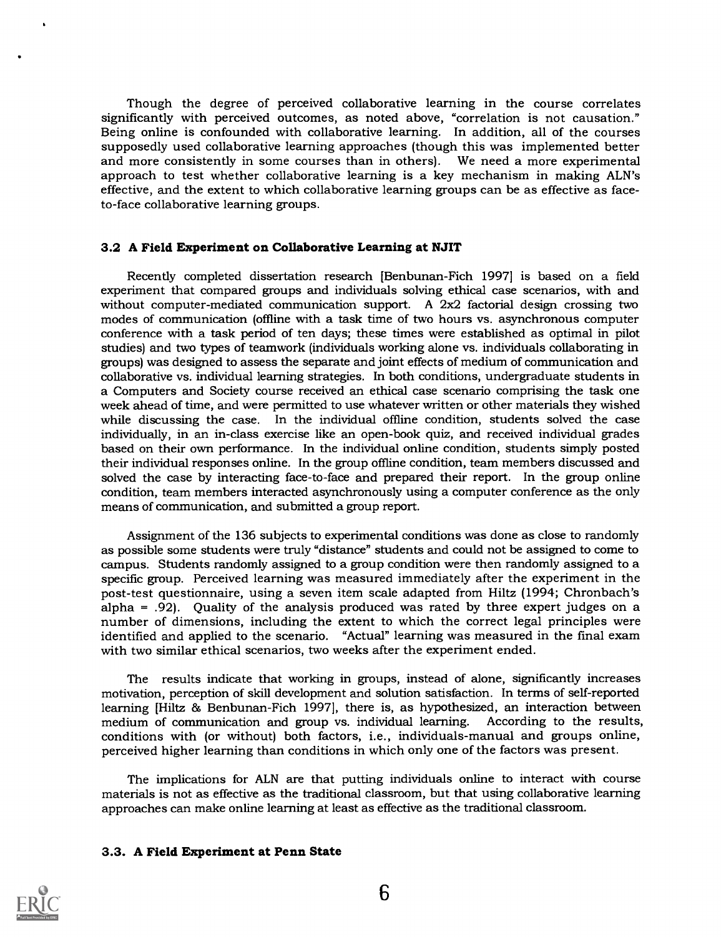Though the degree of perceived collaborative learning in the course correlates significantly with perceived outcomes, as noted above, "correlation is not causation." Being online is confounded with collaborative learning. In addition, all of the courses supposedly used collaborative learning approaches (though this was implemented better and more consistently in some courses than in others). We need a more experimental approach to test whether collaborative learning is a key mechanism in making ALN's effective, and the extent to which collaborative learning groups can be as effective as faceto-face collaborative learning groups.

#### 3.2 A Field Experiment on Collaborative Learning at NJIT

Recently completed dissertation research [Benbunan-Fich 1997] is based on a field experiment that compared groups and individuals solving ethical case scenarios, with and without computer-mediated communication support. A 2x2 factorial design crossing two modes of communication (offline with a task time of two hours vs. asynchronous computer conference with a task period of ten days; these times were established as optimal in pilot studies) and two types of teamwork (individuals working alone vs. individuals collaborating in groups) was designed to assess the separate and joint effects of medium of communication and collaborative vs. individual learning strategies. In both conditions, undergraduate students in a Computers and Society course received an ethical case scenario comprising the task one week ahead of time, and were permitted to use whatever written or other materials they wished while discussing the case. In the individual offline condition, students solved the case individually, in an in-class exercise like an open-book quiz, and received individual grades based on their own performance. In the individual online condition, students simply posted their individual responses online. In the group offline condition, team members discussed and solved the case by interacting face-to-face and prepared their report. In the group online condition, team members interacted asynchronously using a computer conference as the only means of communication, and submitted a group report.

Assignment of the 136 subjects to experimental conditions was done as close to randomly as possible some students were truly "distance" students and could not be assigned to come to campus. Students randomly assigned to a group condition were then randomly assigned to a specific group. Perceived learning was measured immediately after the experiment in the post-test questionnaire, using a seven item scale adapted from Hiltz (1994; Chronbach's alpha = .92). Quality of the analysis produced was rated by three expert judges on a number of dimensions, including the extent to which the correct legal principles were identified and applied to the scenario. "Actual" learning was measured in the final exam with two similar ethical scenarios, two weeks after the experiment ended.

The results indicate that working in groups, instead of alone, significantly increases motivation, perception of skill development and solution satisfaction. In terms of self-reported learning [Hiltz & Benbunan-Fich 1997], there is, as hypothesized, an interaction between medium of communication and group vs. individual learning. According to the results, conditions with (or without) both factors, i.e., individuals-manual and groups online, perceived higher learning than conditions in which only one of the factors was present.

The implications for ALN are that putting individuals online to interact with course materials is not as effective as the traditional classroom, but that using collaborative learning approaches can make online learning at least as effective as the traditional classroom.

#### 3.3. A Field Experiment at Penn State

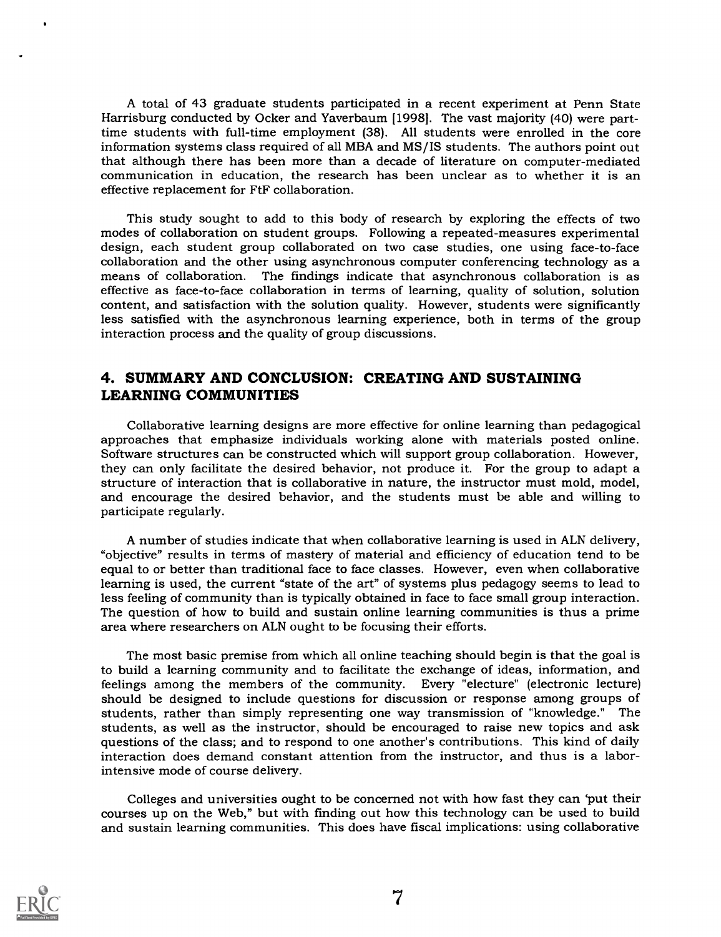A total of 43 graduate students participated in a recent experiment at Penn State Harrisburg conducted by Ocker and Yaverbaum [1998]. The vast majority (40) were parttime students with full-time employment (38). All students were enrolled in the core information systems class required of all MBA and MS/IS students. The authors point out that although there has been more than a decade of literature on computer-mediated communication in education, the research has been unclear as to whether it is an effective replacement for FtF collaboration.

This study sought to add to this body of research by exploring the effects of two modes of collaboration on student groups. Following a repeated-measures experimental design, each student group collaborated on two case studies, one using face-to-face collaboration and the other using asynchronous computer conferencing technology as a means of collaboration. The findings indicate that asynchronous collaboration is as effective as face-to-face collaboration in terms of learning, quality of solution, solution content, and satisfaction with the solution quality. However, students were significantly less satisfied with the asynchronous learning experience, both in terms of the group interaction process and the quality of group discussions.

## 4. SUMMARY AND CONCLUSION: CREATING AND SUSTAINING LEARNING COMMUNITIES

Collaborative learning designs are more effective for online learning than pedagogical approaches that emphasize individuals working alone with materials posted online. Software structures can be constructed which will support group collaboration. However, they can only facilitate the desired behavior, not produce it. For the group to adapt a structure of interaction that is collaborative in nature, the instructor must mold, model, and encourage the desired behavior, and the students must be able and willing to participate regularly.

A number of studies indicate that when collaborative learning is used in ALN delivery, "objective" results in terms of mastery of material and efficiency of education tend to be equal to or better than traditional face to face classes. However, even when collaborative learning is used, the current "state of the art" of systems plus pedagogy seems to lead to less feeling of community than is typically obtained in face to face small group interaction. The question of how to build and sustain online learning communities is thus a prime area where researchers on ALN ought to be focusing their efforts.

The most basic premise from which all online teaching should begin is that the goal is to build a learning community and to facilitate the exchange of ideas, information, and feelings among the members of the community. Every "electure" (electronic lecture) should be designed to include questions for discussion or response among groups of students, rather than simply representing one way transmission of "knowledge." The students, as well as the instructor, should be encouraged to raise new topics and ask questions of the class; and to respond to one another's contributions. This kind of daily interaction does demand constant attention from the instructor, and thus is a laborintensive mode of course delivery.

Colleges and universities ought to be concerned not with how fast they can 'put their courses up on the Web," but with finding out how this technology can be used to build and sustain learning communities. This does have fiscal implications: using collaborative

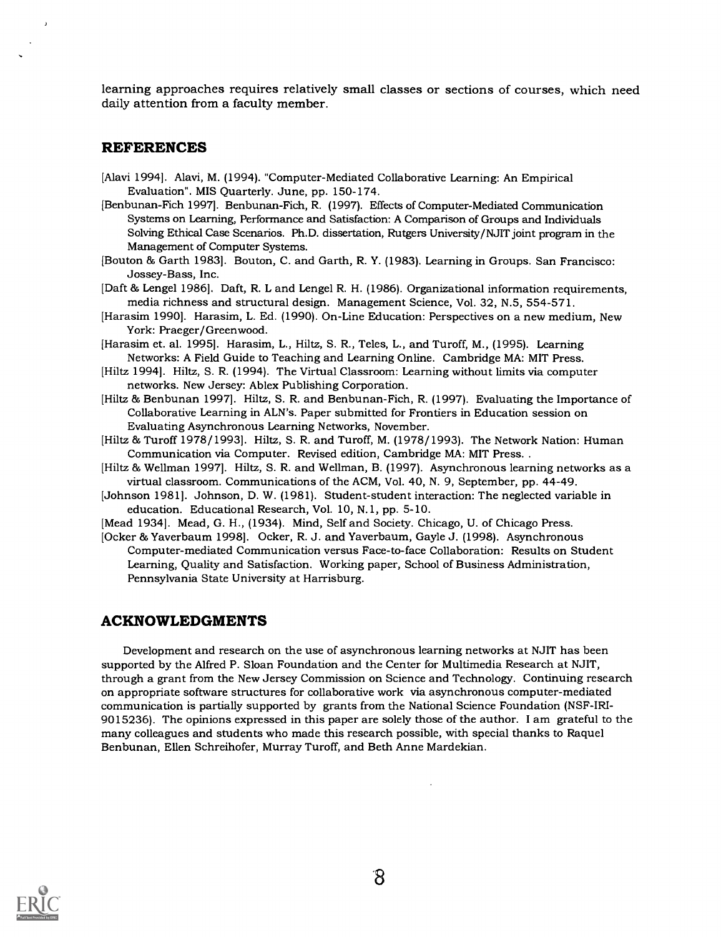learning approaches requires relatively small classes or sections of courses, which need daily attention from a faculty member.

#### REFERENCES

- [Alavi 1994]. Alavi, M. (1994). "Computer-Mediated Collaborative Learning: An Empirical Evaluation". MIS Quarterly. June, pp. 150-174.
- [Benbunan-Fich 19971. Benbunan-Fich, R. (1997). Effects of Computer-Mediated Communication Systems on Learning, Performance and Satisfaction: A Comparison of Groups and Individuals Solving Ethical Case Scenarios. Ph.D. dissertation, Rutgers University/NJIT joint program in the Management of Computer Systems.
- [Bouton & Garth 1983]. Bouton, C. and Garth, R. Y. (1983). Learning in Groups. San Francisco: Jossey-Bass, Inc.
- [Daft & Lengel 1986]. Daft, R. L and Lengel R. H. (1986). Organizational information requirements, media richness and structural design. Management Science, Vol. 32, N.5, 554-571.
- [Harasim 1990]. Harasim, L. Ed. (1990). On-Line Education: Perspectives on a new medium, New York: Praeger/Greenwood.
- [Harasim et. al. 1995]. Harasim, L., Hiltz, S. R., Teles, L., and Turoff, M., (1995). Learning Networks: A Field Guide to Teaching and Learning Online. Cambridge MA: MIT Press.
- [Hiltz 1994]. Hiltz, S. R. (1994). The Virtual Classroom: Learning without limits via computer networks. New Jersey: Ablex Publishing Corporation.
- [Hiltz & Benbunan 1997]. Hiltz, S. R. and Benbunan-Fich, R. (1997). Evaluating the Importance of Collaborative Learning in ALN's. Paper submitted for Frontiers in Education session on Evaluating Asynchronous Learning Networks, November.
- [Hiltz & Turoff 1978/1993]. Hiltz, S. R. and Turoff, M. (1978/1993). The Network Nation: Human Communication via Computer. Revised edition, Cambridge MA: MIT Press. .
- [Hiltz & Wellman 1997]. Hiltz, S. R. and Wellman, B. (1997). Asynchronous learning networks as a virtual classroom. Communications of the ACM, Vol. 40, N. 9, September, pp. 44-49.
- [Johnson 1981]. Johnson, D. W. (1981). Student-student interaction: The neglected variable in education. Educational Research, Vol. 10, N.1, pp. 5-10.
- [Mead 1934]. Mead, G. H., (1934). Mind, Self and Society. Chicago, U. of Chicago Press.
- [Ocker & Yaverbaum 1998]. Ocker, R. J. and Yaverbaum, Gayle J. (1998). Asynchronous Computer-mediated Communication versus Face-to-face Collaboration: Results on Student Learning, Quality and Satisfaction. Working paper, School of Business Administration, Pennsylvania State University at Harrisburg.

#### ACKNOWLEDGMENTS

Development and research on the use of asynchronous learning networks at NJIT has been supported by the Alfred P. Sloan Foundation and the Center for Multimedia Research at NJIT, through a grant from the New Jersey Commission on Science and Technology. Continuing research on appropriate software structures for collaborative work via asynchronous computer-mediated communication is partially supported by grants from the National Science Foundation (NSF-IRI-9015236). The opinions expressed in this paper are solely those of the author. I am grateful to the many colleagues and students who made this research possible, with special thanks to Raquel Benbunan, Ellen Schreihofer, Murray Turoff, and Beth Anne Mardekian.